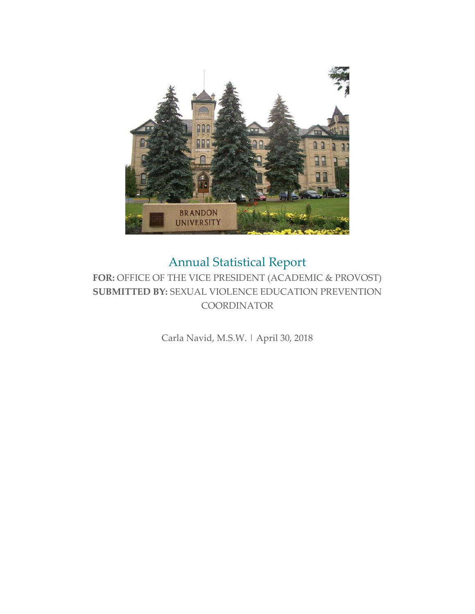

# Annual Statistical Report

#### **FOR:** OFFICE OF THE VICE PRESIDENT (ACADEMIC & PROVOST) **SUBMITTED BY:** SEXUAL VIOLENCE EDUCATION PREVENTION **COORDINATOR**

Carla Navid, M.S.W. | April 30, 2018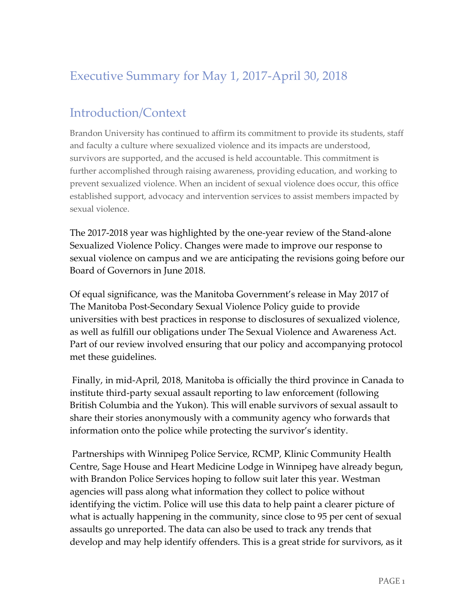## Executive Summary for May 1, 2017-April 30, 2018

### Introduction/Context

Brandon University has continued to affirm its commitment to provide its students, staff and faculty a culture where sexualized violence and its impacts are understood, survivors are supported, and the accused is held accountable. This commitment is further accomplished through raising awareness, providing education, and working to prevent sexualized violence. When an incident of sexual violence does occur, this office established support, advocacy and intervention services to assist members impacted by sexual violence.

The 2017-2018 year was highlighted by the one-year review of the Stand-alone Sexualized Violence Policy. Changes were made to improve our response to sexual violence on campus and we are anticipating the revisions going before our Board of Governors in June 2018.

Of equal significance, was the Manitoba Government's release in May 2017 of The Manitoba Post-Secondary Sexual Violence Policy guide to provide universities with best practices in response to disclosures of sexualized violence, as well as fulfill our obligations under The Sexual Violence and Awareness Act. Part of our review involved ensuring that our policy and accompanying protocol met these guidelines.

Finally, in mid-April, 2018, Manitoba is officially the third province in Canada to institute third-party sexual assault reporting to law enforcement (following British Columbia and the Yukon). This will enable survivors of sexual assault to share their stories anonymously with a community agency who forwards that information onto the police while protecting the survivor's identity.

Partnerships with Winnipeg Police Service, RCMP, Klinic Community Health Centre, Sage House and Heart Medicine Lodge in Winnipeg have already begun, with Brandon Police Services hoping to follow suit later this year. Westman agencies will pass along what information they collect to police without identifying the victim. Police will use this data to help paint a clearer picture of what is actually happening in the community, since close to 95 per cent of sexual assaults go unreported. The data can also be used to track any trends that develop and may help identify offenders. This is a great stride for survivors, as it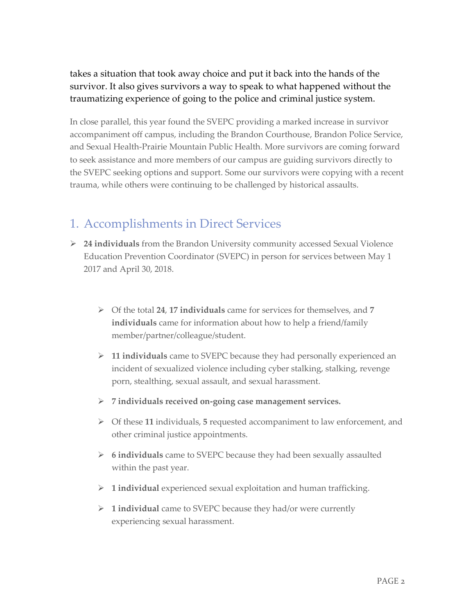takes a situation that took away choice and put it back into the hands of the survivor. It also gives survivors a way to speak to what happened without the traumatizing experience of going to the police and criminal justice system.

In close parallel, this year found the SVEPC providing a marked increase in survivor accompaniment off campus, including the Brandon Courthouse, Brandon Police Service, and Sexual Health-Prairie Mountain Public Health. More survivors are coming forward to seek assistance and more members of our campus are guiding survivors directly to the SVEPC seeking options and support. Some our survivors were copying with a recent trauma, while others were continuing to be challenged by historical assaults.

#### 1. Accomplishments in Direct Services

- **24 individuals** from the Brandon University community accessed Sexual Violence Education Prevention Coordinator (SVEPC) in person for services between May 1 2017 and April 30, 2018.
	- Of the total **24**, **17 individuals** came for services for themselves, and **7 individuals** came for information about how to help a friend/family member/partner/colleague/student.
	- **11 individuals** came to SVEPC because they had personally experienced an incident of sexualized violence including cyber stalking, stalking, revenge porn, stealthing, sexual assault, and sexual harassment.
	- **7 individuals received on-going case management services.**
	- Of these **11** individuals, **5** requested accompaniment to law enforcement, and other criminal justice appointments.
	- **6 individuals** came to SVEPC because they had been sexually assaulted within the past year.
	- **1 individual** experienced sexual exploitation and human trafficking.
	- **1 individual** came to SVEPC because they had/or were currently experiencing sexual harassment.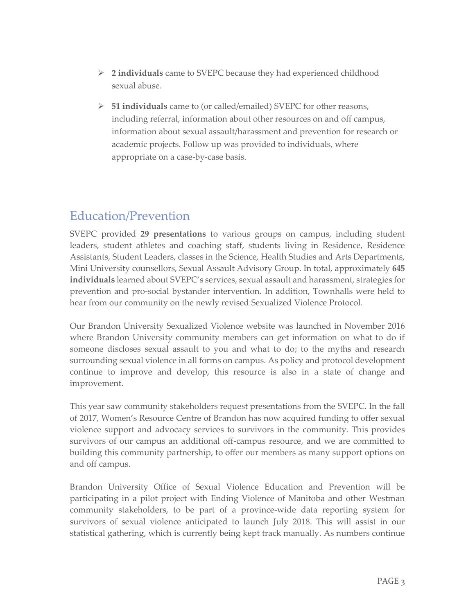- **2 individuals** came to SVEPC because they had experienced childhood sexual abuse.
- **51 individuals** came to (or called/emailed) SVEPC for other reasons, including referral, information about other resources on and off campus, information about sexual assault/harassment and prevention for research or academic projects. Follow up was provided to individuals, where appropriate on a case-by-case basis.

### Education/Prevention

SVEPC provided **29 presentations** to various groups on campus, including student leaders, student athletes and coaching staff, students living in Residence, Residence Assistants, Student Leaders, classes in the Science, Health Studies and Arts Departments, Mini University counsellors, Sexual Assault Advisory Group. In total, approximately **645 individuals** learned about SVEPC's services, sexual assault and harassment, strategies for prevention and pro-social bystander intervention. In addition, Townhalls were held to hear from our community on the newly revised Sexualized Violence Protocol.

Our Brandon University Sexualized Violence website was launched in November 2016 where Brandon University community members can get information on what to do if someone discloses sexual assault to you and what to do; to the myths and research surrounding sexual violence in all forms on campus. As policy and protocol development continue to improve and develop, this resource is also in a state of change and improvement.

This year saw community stakeholders request presentations from the SVEPC. In the fall of 2017, Women's Resource Centre of Brandon has now acquired funding to offer sexual violence support and advocacy services to survivors in the community. This provides survivors of our campus an additional off-campus resource, and we are committed to building this community partnership, to offer our members as many support options on and off campus.

Brandon University Office of Sexual Violence Education and Prevention will be participating in a pilot project with Ending Violence of Manitoba and other Westman community stakeholders, to be part of a province-wide data reporting system for survivors of sexual violence anticipated to launch July 2018. This will assist in our statistical gathering, which is currently being kept track manually. As numbers continue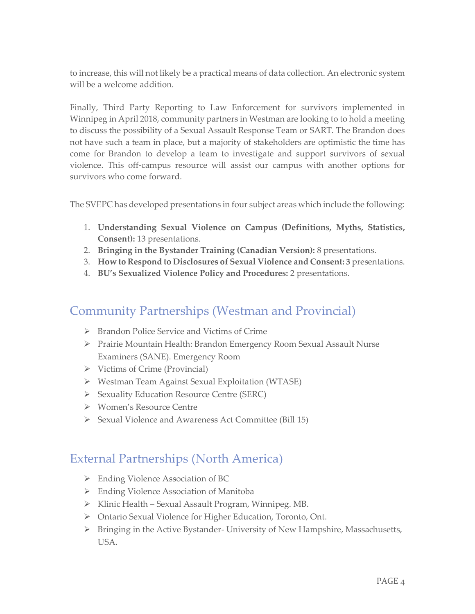to increase, this will not likely be a practical means of data collection. An electronic system will be a welcome addition.

Finally, Third Party Reporting to Law Enforcement for survivors implemented in Winnipeg in April 2018, community partners in Westman are looking to to hold a meeting to discuss the possibility of a Sexual Assault Response Team or SART. The Brandon does not have such a team in place, but a majority of stakeholders are optimistic the time has come for Brandon to develop a team to investigate and support survivors of sexual violence. This off-campus resource will assist our campus with another options for survivors who come forward.

The SVEPC has developed presentations in four subject areas which include the following:

- 1. **Understanding Sexual Violence on Campus (Definitions, Myths, Statistics, Consent):** 13 presentations.
- 2. **Bringing in the Bystander Training (Canadian Version):** 8 presentations.
- 3. **How to Respond to Disclosures of Sexual Violence and Consent: 3** presentations.
- 4. **BU's Sexualized Violence Policy and Procedures:** 2 presentations.

### Community Partnerships (Westman and Provincial)

- ▶ Brandon Police Service and Victims of Crime
- Prairie Mountain Health: Brandon Emergency Room Sexual Assault Nurse Examiners (SANE). Emergency Room
- $\triangleright$  Victims of Crime (Provincial)
- Westman Team Against Sexual Exploitation (WTASE)
- Sexuality Education Resource Centre (SERC)
- Women's Resource Centre
- Sexual Violence and Awareness Act Committee (Bill 15)

#### External Partnerships (North America)

- Ending Violence Association of BC
- Ending Violence Association of Manitoba
- $\triangleright$  Klinic Health Sexual Assault Program, Winnipeg. MB.
- Ontario Sexual Violence for Higher Education, Toronto, Ont.
- Bringing in the Active Bystander- University of New Hampshire, Massachusetts, USA.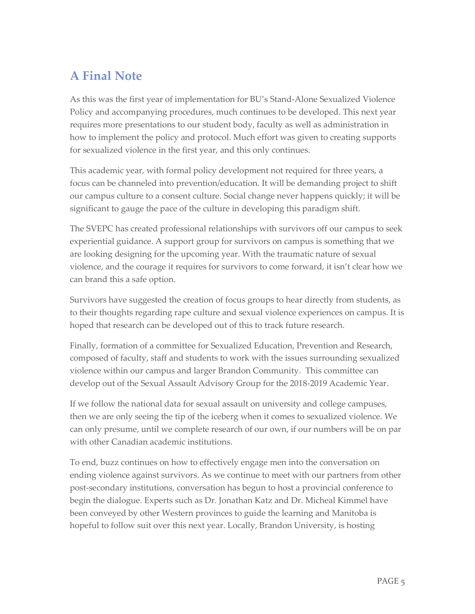### **A Final Note**

As this was the first year of implementation for BU's Stand-Alone Sexualized Violence Policy and accompanying procedures, much continues to be developed. This next year requires more presentations to our student body, faculty as well as administration in how to implement the policy and protocol. Much effort was given to creating supports for sexualized violence in the first year, and this only continues.

This academic year, with formal policy development not required for three years, a focus can be channeled into prevention/education. It will be demanding project to shift our campus culture to a consent culture. Social change never happens quickly; it will be significant to gauge the pace of the culture in developing this paradigm shift.

The SVEPC has created professional relationships with survivors off our campus to seek experiential guidance. A support group for survivors on campus is something that we are looking designing for the upcoming year. With the traumatic nature of sexual violence, and the courage it requires for survivors to come forward, it isn't clear how we can brand this a safe option.

Survivors have suggested the creation of focus groups to hear directly from students, as to their thoughts regarding rape culture and sexual violence experiences on campus. It is hoped that research can be developed out of this to track future research.

Finally, formation of a committee for Sexualized Education, Prevention and Research, composed of faculty, staff and students to work with the issues surrounding sexualized violence within our campus and larger Brandon Community. This committee can develop out of the Sexual Assault Advisory Group for the 2018-2019 Academic Year.

If we follow the national data for sexual assault on university and college campuses, then we are only seeing the tip of the iceberg when it comes to sexualized violence. We can only presume, until we complete research of our own, if our numbers will be on par with other Canadian academic institutions.

To end, buzz continues on how to effectively engage men into the conversation on ending violence against survivors. As we continue to meet with our partners from other post-secondary institutions, conversation has begun to host a provincial conference to begin the dialogue. Experts such as Dr. Jonathan Katz and Dr. Micheal Kimmel have been conveyed by other Western provinces to guide the learning and Manitoba is hopeful to follow suit over this next year. Locally, Brandon University, is hosting